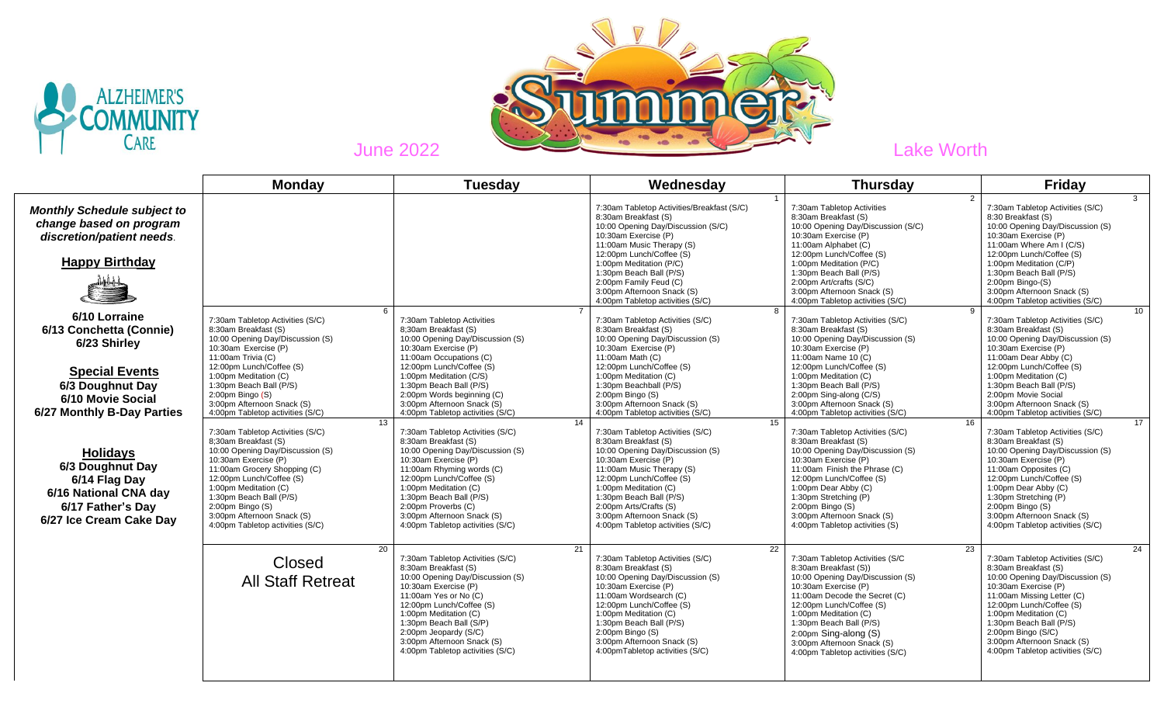



|                                                                                                                                                          | <b>Monday</b>                                                                                                                                                                                                                                                                                                                    | <b>Tuesday</b>                                                                                                                                                                                                                                                                                                                   | Wednesday                                                                                                                                                                                                                                                                                                                                   | <b>Thursday</b>                                                                                                                                                                                                                                                                                                                        | <b>Friday</b>                                                                                                                                                                                                                                                                                                                             |
|----------------------------------------------------------------------------------------------------------------------------------------------------------|----------------------------------------------------------------------------------------------------------------------------------------------------------------------------------------------------------------------------------------------------------------------------------------------------------------------------------|----------------------------------------------------------------------------------------------------------------------------------------------------------------------------------------------------------------------------------------------------------------------------------------------------------------------------------|---------------------------------------------------------------------------------------------------------------------------------------------------------------------------------------------------------------------------------------------------------------------------------------------------------------------------------------------|----------------------------------------------------------------------------------------------------------------------------------------------------------------------------------------------------------------------------------------------------------------------------------------------------------------------------------------|-------------------------------------------------------------------------------------------------------------------------------------------------------------------------------------------------------------------------------------------------------------------------------------------------------------------------------------------|
| <b>Monthly Schedule subject to</b><br>change based on program<br>discretion/patient needs.<br><b>Happy Birthday</b>                                      |                                                                                                                                                                                                                                                                                                                                  |                                                                                                                                                                                                                                                                                                                                  | 7:30am Tabletop Activities/Breakfast (S/C)<br>8:30am Breakfast (S)<br>10:00 Opening Day/Discussion (S/C)<br>10:30am Exercise (P)<br>11:00am Music Therapy (S)<br>12:00pm Lunch/Coffee (S)<br>1:00pm Meditation (P/C)<br>1:30pm Beach Ball (P/S)<br>2:00pm Family Feud (C)<br>3:00pm Afternoon Snack (S)<br>4:00pm Tabletop activities (S/C) | 7:30am Tabletop Activities<br>8:30am Breakfast (S)<br>10:00 Opening Day/Discussion (S/C)<br>10:30am Exercise (P)<br>11:00am Alphabet (C)<br>12:00pm Lunch/Coffee (S)<br>1:00pm Meditation (P/C)<br>1:30pm Beach Ball (P/S)<br>2:00pm Art/crafts (S/C)<br>3:00pm Afternoon Snack (S)<br>4:00pm Tabletop activities (S/C)                | 3<br>7:30am Tabletop Activities (S/C)<br>8:30 Breakfast (S)<br>10:00 Opening Day/Discussion (S)<br>10:30am Exercise (P)<br>11:00am Where Am I (C/S)<br>12:00pm Lunch/Coffee (S)<br>1:00pm Meditation (C/P)<br>1:30pm Beach Ball (P/S)<br>$2:00$ pm Bingo- $(S)$<br>3:00pm Afternoon Snack (S)<br>4:00pm Tabletop activities (S/C)         |
| 6/10 Lorraine<br>6/13 Conchetta (Connie)<br>6/23 Shirley<br><b>Special Events</b><br>6/3 Doughnut Day<br>6/10 Movie Social<br>6/27 Monthly B-Day Parties | 6<br>7:30am Tabletop Activities (S/C)<br>8:30am Breakfast (S)<br>10:00 Opening Day/Discussion (S)<br>10:30am Exercise (P)<br>11:00am Trivia (C)<br>12:00pm Lunch/Coffee (S)<br>1:00pm Meditation (C)<br>1:30pm Beach Ball (P/S)<br>$2:00$ pm Bingo $(S)$<br>3:00pm Afternoon Snack (S)<br>4:00pm Tabletop activities (S/C)       | 7:30am Tabletop Activities<br>8:30am Breakfast (S)<br>10:00 Opening Day/Discussion (S)<br>10:30am Exercise (P)<br>11:00am Occupations (C)<br>12:00pm Lunch/Coffee (S)<br>1:00pm Meditation (C/S)<br>1:30pm Beach Ball (P/S)<br>2:00pm Words beginning (C)<br>3:00pm Afternoon Snack (S)<br>4:00pm Tabletop activities (S/C)      | 8<br>7:30am Tabletop Activities (S/C)<br>8:30am Breakfast (S)<br>10:00 Opening Day/Discussion (S)<br>10:30am Exercise (P)<br>11:00am Math (C)<br>12:00pm Lunch/Coffee (S)<br>1:00pm Meditation (C)<br>1:30pm Beachball (P/S)<br>$2:00$ pm Bingo $(S)$<br>3:00pm Afternoon Snack (S)<br>4:00pm Tabletop activities (S/C)                     | 7:30am Tabletop Activities (S/C)<br>8:30am Breakfast (S)<br>10:00 Opening Day/Discussion (S)<br>10:30am Exercise (P)<br>11:00am Name 10 (C)<br>12:00pm Lunch/Coffee (S)<br>1:00pm Meditation (C)<br>1:30pm Beach Ball (P/S)<br>2:00pm Sing-along (C/S)<br>3:00pm Afternoon Snack (S)<br>4:00pm Tabletop activities (S/C)               | 10 <sup>1</sup><br>7:30am Tabletop Activities (S/C)<br>8:30am Breakfast (S)<br>10:00 Opening Day/Discussion (S)<br>10:30am Exercise (P)<br>11:00am Dear Abby (C)<br>12:00pm Lunch/Coffee (S)<br>1:00pm Meditation (C)<br>1:30pm Beach Ball (P/S)<br>2:00pm Movie Social<br>3:00pm Afternoon Snack (S)<br>4:00pm Tabletop activities (S/C) |
| <b>Holidays</b><br>6/3 Doughnut Day<br>6/14 Flag Day<br>6/16 National CNA day<br>6/17 Father's Day<br>6/27 Ice Cream Cake Day                            | 13<br>7:30am Tabletop Activities (S/C)<br>8:30am Breakfast (S)<br>10:00 Opening Day/Discussion (S)<br>10:30am Exercise (P)<br>11:00am Grocery Shopping (C)<br>12:00pm Lunch/Coffee (S)<br>1:00pm Meditation (C)<br>1:30pm Beach Ball (P/S)<br>2:00pm Bingo (S)<br>3:00pm Afternoon Snack (S)<br>4:00pm Tabletop activities (S/C) | 14<br>7:30am Tabletop Activities (S/C)<br>8:30am Breakfast (S)<br>10:00 Opening Day/Discussion (S)<br>10:30am Exercise (P)<br>11:00am Rhyming words (C)<br>12:00pm Lunch/Coffee (S)<br>1:00pm Meditation (C)<br>1:30pm Beach Ball (P/S)<br>2:00pm Proverbs (C)<br>3:00pm Afternoon Snack (S)<br>4:00pm Tabletop activities (S/C) | 15<br>7:30am Tabletop Activities (S/C)<br>8:30am Breakfast (S)<br>10:00 Opening Day/Discussion (S)<br>10:30am Exercise (P)<br>11:00am Music Therapy (S)<br>12:00pm Lunch/Coffee (S)<br>1:00pm Meditation (C)<br>1:30pm Beach Ball (P/S)<br>2:00pm Arts/Crafts (S)<br>3:00pm Afternoon Snack (S)<br>4:00pm Tabletop activities (S/C)         | 16<br>7:30am Tabletop Activities (S/C)<br>8:30am Breakfast (S)<br>10:00 Opening Day/Discussion (S)<br>10:30am Exercise (P)<br>11:00am Finish the Phrase (C)<br>12:00pm Lunch/Coffee (S)<br>1:00pm Dear Abby (C)<br>1:30pm Stretching (P)<br>$2:00$ pm Bingo $(S)$<br>3:00pm Afternoon Snack (S)<br>4:00pm Tabletop activities (S)      | $\overline{17}$<br>7:30am Tabletop Activities (S/C)<br>8:30am Breakfast (S)<br>10:00 Opening Day/Discussion (S)<br>10:30am Exercise (P)<br>11:00am Opposites (C)<br>12:00pm Lunch/Coffee (S)<br>1:00pm Dear Abby (C)<br>1:30pm Stretching (P)<br>2:00pm Bingo (S)<br>3:00pm Afternoon Snack (S)<br>4:00pm Tabletop activities (S/C)       |
|                                                                                                                                                          | 20<br>Closed<br><b>All Staff Retreat</b>                                                                                                                                                                                                                                                                                         | 21<br>7:30am Tabletop Activities (S/C)<br>8:30am Breakfast (S)<br>10:00 Opening Day/Discussion (S)<br>10:30am Exercise (P)<br>11:00am Yes or No (C)<br>12:00pm Lunch/Coffee (S)<br>1:00pm Meditation (C)<br>1:30pm Beach Ball (S/P)<br>2:00pm Jeopardy (S/C)<br>3:00pm Afternoon Snack (S)<br>4:00pm Tabletop activities (S/C)   | 22<br>7:30am Tabletop Activities (S/C)<br>8:30am Breakfast (S)<br>10:00 Opening Day/Discussion (S)<br>10:30am Exercise (P)<br>11:00am Wordsearch (C)<br>12:00pm Lunch/Coffee (S)<br>1:00pm Meditation (C)<br>1:30pm Beach Ball (P/S)<br>$2:00$ pm Bingo $(S)$<br>3:00pm Afternoon Snack (S)<br>4:00pmTabletop activities (S/C)              | 23<br>7:30am Tabletop Activities (S/C<br>8:30am Breakfast (S))<br>10:00 Opening Day/Discussion (S)<br>10:30am Exercise (P)<br>11:00am Decode the Secret (C)<br>12:00pm Lunch/Coffee (S)<br>1:00pm Meditation (C)<br>1:30pm Beach Ball (P/S)<br>2:00pm Sing-along (S)<br>3:00pm Afternoon Snack (S)<br>4:00pm Tabletop activities (S/C) | 24<br>7:30am Tabletop Activities (S/C)<br>8:30am Breakfast (S)<br>10:00 Opening Day/Discussion (S)<br>10:30am Exercise (P)<br>11:00am Missing Letter (C)<br>12:00pm Lunch/Coffee (S)<br>1:00pm Meditation (C)<br>1:30pm Beach Ball (P/S)<br>2:00pm Bingo (S/C)<br>3:00pm Afternoon Snack (S)<br>4:00pm Tabletop activities (S/C)          |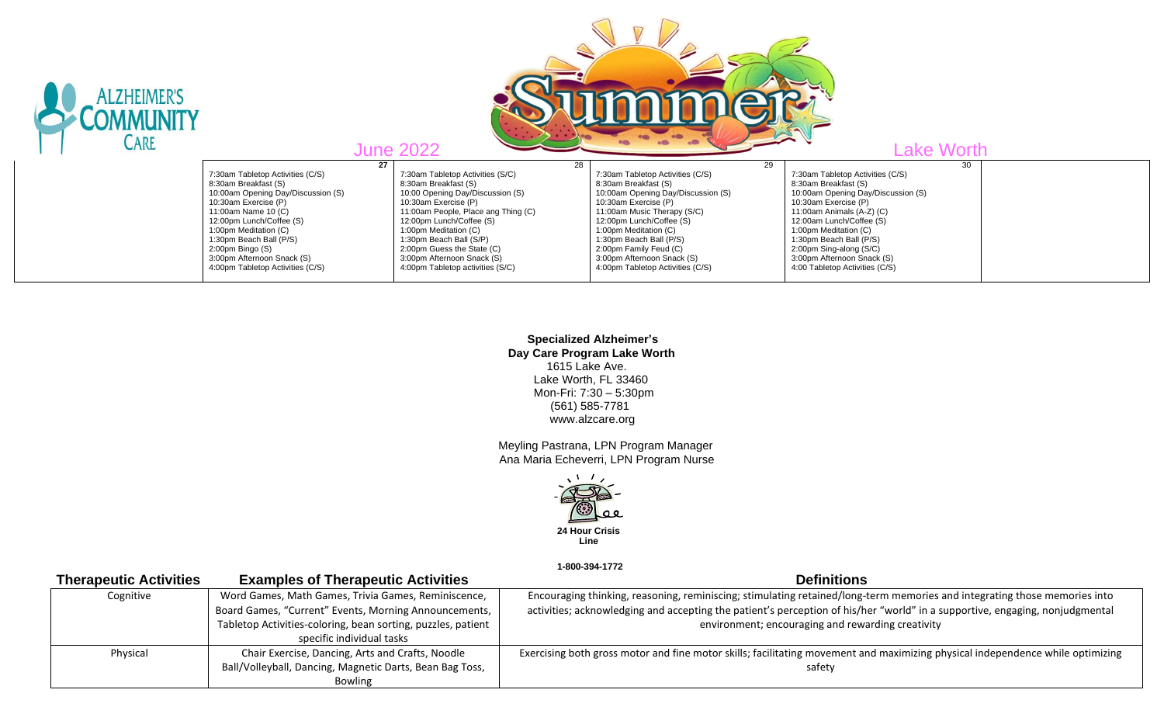

 **Specialized Alzheimer's Day Care Program Lake Worth** 1615 Lake Ave. Lake Worth, FL 33460 Mon-Fri: 7:30 – 5:30pm (561) 585-7781 www.alzcare.org

 Meyling Pastrana, LPN Program Manager Ana Maria Echeverri, LPN Program Nurse



 **1-800-394-1772** 

| <b>Examples of Therapeutic Activities</b>                    | <b>Definitions</b>                                                                                                             |  |
|--------------------------------------------------------------|--------------------------------------------------------------------------------------------------------------------------------|--|
| Word Games, Math Games, Trivia Games, Reminiscence,          | Encouraging thinking, reasoning, reminiscing; stimulating retained/long-term memories and integrating those memories into      |  |
| Board Games, "Current" Events, Morning Announcements,        | activities; acknowledging and accepting the patient's perception of his/her "world" in a supportive, engaging, nonjudgmental   |  |
| Tabletop Activities-coloring, bean sorting, puzzles, patient | environment; encouraging and rewarding creativity                                                                              |  |
| specific individual tasks                                    |                                                                                                                                |  |
| Chair Exercise, Dancing, Arts and Crafts, Noodle             | Exercising both gross motor and fine motor skills; facilitating movement and maximizing physical independence while optimizing |  |
| Ball/Volleyball, Dancing, Magnetic Darts, Bean Bag Toss,     | safety                                                                                                                         |  |
| Bowling                                                      |                                                                                                                                |  |
|                                                              |                                                                                                                                |  |